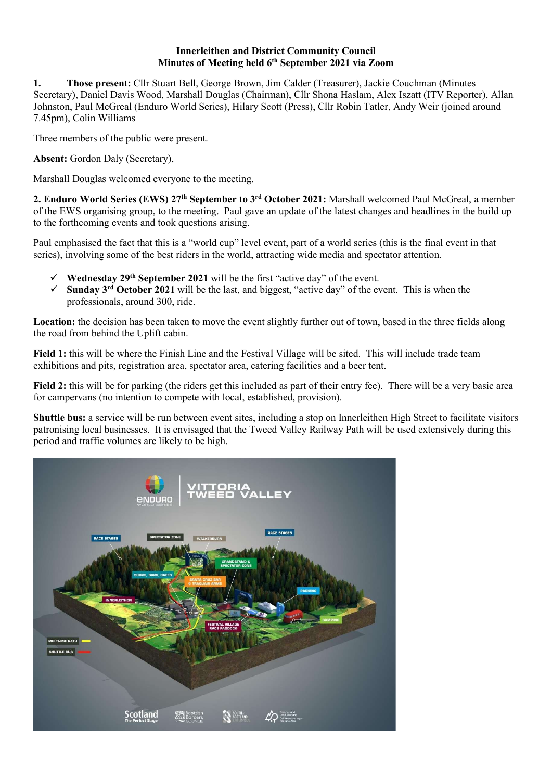## Innerleithen and District Community Council Minutes of Meeting held 6th September 2021 via Zoom

1. Those present: Cllr Stuart Bell, George Brown, Jim Calder (Treasurer), Jackie Couchman (Minutes Secretary), Daniel Davis Wood, Marshall Douglas (Chairman), Cllr Shona Haslam, Alex Iszatt (ITV Reporter), Allan Johnston, Paul McGreal (Enduro World Series), Hilary Scott (Press), Cllr Robin Tatler, Andy Weir (joined around 7.45pm), Colin Williams

Three members of the public were present.

Absent: Gordon Daly (Secretary),

Marshall Douglas welcomed everyone to the meeting.

2. Enduro World Series (EWS) 27<sup>th</sup> September to 3<sup>rd</sup> October 2021: Marshall welcomed Paul McGreal, a member of the EWS organising group, to the meeting. Paul gave an update of the latest changes and headlines in the build up to the forthcoming events and took questions arising.

Paul emphasised the fact that this is a "world cup" level event, part of a world series (this is the final event in that series), involving some of the best riders in the world, attracting wide media and spectator attention.

- $\checkmark$  Wednesday 29<sup>th</sup> September 2021 will be the first "active day" of the event.
- Sunday 3rd October 2021 will be the last, and biggest, "active day" of the event. This is when the professionals, around 300, ride.

Location: the decision has been taken to move the event slightly further out of town, based in the three fields along the road from behind the Uplift cabin.

Field 1: this will be where the Finish Line and the Festival Village will be sited. This will include trade team exhibitions and pits, registration area, spectator area, catering facilities and a beer tent.

Field 2: this will be for parking (the riders get this included as part of their entry fee). There will be a very basic area for campervans (no intention to compete with local, established, provision).

Shuttle bus: a service will be run between event sites, including a stop on Innerleithen High Street to facilitate visitors patronising local businesses. It is envisaged that the Tweed Valley Railway Path will be used extensively during this period and traffic volumes are likely to be high.

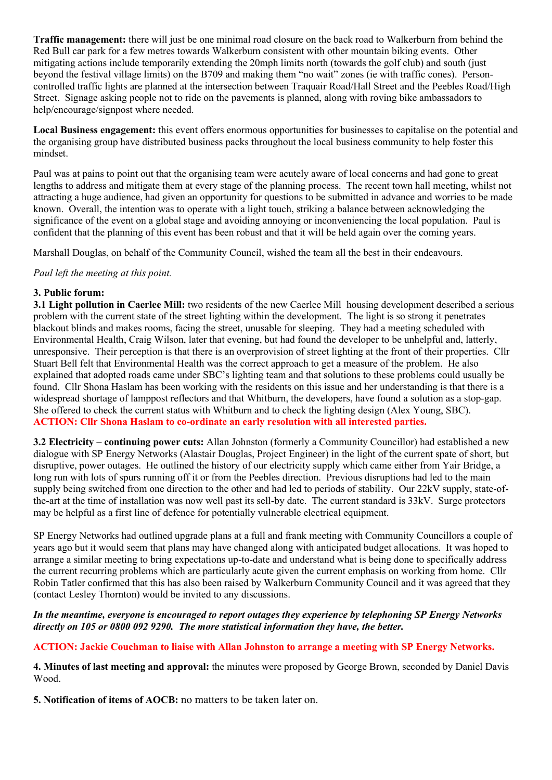Traffic management: there will just be one minimal road closure on the back road to Walkerburn from behind the Red Bull car park for a few metres towards Walkerburn consistent with other mountain biking events. Other mitigating actions include temporarily extending the 20mph limits north (towards the golf club) and south (just beyond the festival village limits) on the B709 and making them "no wait" zones (ie with traffic cones). Personcontrolled traffic lights are planned at the intersection between Traquair Road/Hall Street and the Peebles Road/High Street. Signage asking people not to ride on the pavements is planned, along with roving bike ambassadors to help/encourage/signpost where needed.

Local Business engagement: this event offers enormous opportunities for businesses to capitalise on the potential and the organising group have distributed business packs throughout the local business community to help foster this mindset.

Paul was at pains to point out that the organising team were acutely aware of local concerns and had gone to great lengths to address and mitigate them at every stage of the planning process. The recent town hall meeting, whilst not attracting a huge audience, had given an opportunity for questions to be submitted in advance and worries to be made known. Overall, the intention was to operate with a light touch, striking a balance between acknowledging the significance of the event on a global stage and avoiding annoying or inconveniencing the local population. Paul is confident that the planning of this event has been robust and that it will be held again over the coming years.

Marshall Douglas, on behalf of the Community Council, wished the team all the best in their endeavours.

Paul left the meeting at this point.

# 3. Public forum:

3.1 Light pollution in Caerlee Mill: two residents of the new Caerlee Mill housing development described a serious problem with the current state of the street lighting within the development. The light is so strong it penetrates blackout blinds and makes rooms, facing the street, unusable for sleeping. They had a meeting scheduled with Environmental Health, Craig Wilson, later that evening, but had found the developer to be unhelpful and, latterly, unresponsive. Their perception is that there is an overprovision of street lighting at the front of their properties. Cllr Stuart Bell felt that Environmental Health was the correct approach to get a measure of the problem. He also explained that adopted roads came under SBC's lighting team and that solutions to these problems could usually be found. Cllr Shona Haslam has been working with the residents on this issue and her understanding is that there is a widespread shortage of lamppost reflectors and that Whitburn, the developers, have found a solution as a stop-gap. She offered to check the current status with Whitburn and to check the lighting design (Alex Young, SBC). ACTION: Cllr Shona Haslam to co-ordinate an early resolution with all interested parties.

3.2 Electricity – continuing power cuts: Allan Johnston (formerly a Community Councillor) had established a new dialogue with SP Energy Networks (Alastair Douglas, Project Engineer) in the light of the current spate of short, but disruptive, power outages. He outlined the history of our electricity supply which came either from Yair Bridge, a long run with lots of spurs running off it or from the Peebles direction. Previous disruptions had led to the main supply being switched from one direction to the other and had led to periods of stability. Our 22kV supply, state-ofthe-art at the time of installation was now well past its sell-by date. The current standard is 33kV. Surge protectors may be helpful as a first line of defence for potentially vulnerable electrical equipment.

SP Energy Networks had outlined upgrade plans at a full and frank meeting with Community Councillors a couple of years ago but it would seem that plans may have changed along with anticipated budget allocations. It was hoped to arrange a similar meeting to bring expectations up-to-date and understand what is being done to specifically address the current recurring problems which are particularly acute given the current emphasis on working from home. Cllr Robin Tatler confirmed that this has also been raised by Walkerburn Community Council and it was agreed that they (contact Lesley Thornton) would be invited to any discussions.

## In the meantime, everyone is encouraged to report outages they experience by telephoning SP Energy Networks directly on 105 or 0800 092 9290. The more statistical information they have, the better.

# ACTION: Jackie Couchman to liaise with Allan Johnston to arrange a meeting with SP Energy Networks.

4. Minutes of last meeting and approval: the minutes were proposed by George Brown, seconded by Daniel Davis Wood.

5. Notification of items of AOCB: no matters to be taken later on.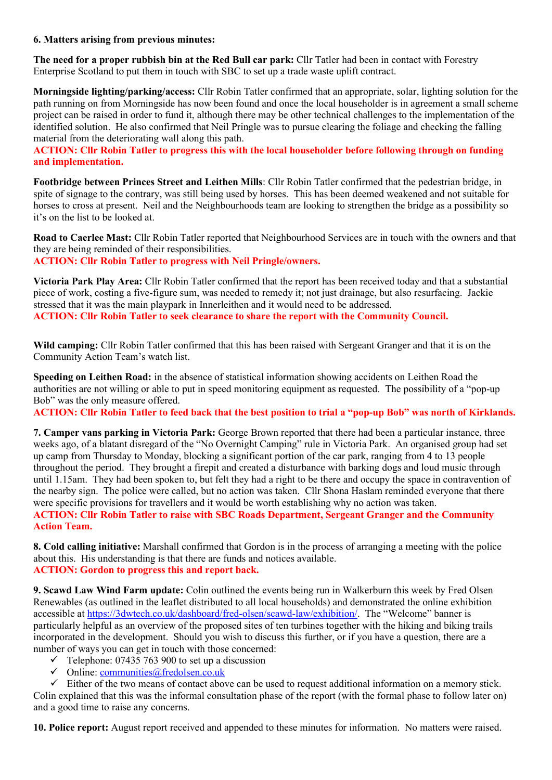### 6. Matters arising from previous minutes:

The need for a proper rubbish bin at the Red Bull car park: Cllr Tatler had been in contact with Forestry Enterprise Scotland to put them in touch with SBC to set up a trade waste uplift contract.

Morningside lighting/parking/access: Cllr Robin Tatler confirmed that an appropriate, solar, lighting solution for the path running on from Morningside has now been found and once the local householder is in agreement a small scheme project can be raised in order to fund it, although there may be other technical challenges to the implementation of the identified solution. He also confirmed that Neil Pringle was to pursue clearing the foliage and checking the falling material from the deteriorating wall along this path.

ACTION: Cllr Robin Tatler to progress this with the local householder before following through on funding and implementation.

Footbridge between Princes Street and Leithen Mills: Cllr Robin Tatler confirmed that the pedestrian bridge, in spite of signage to the contrary, was still being used by horses. This has been deemed weakened and not suitable for horses to cross at present. Neil and the Neighbourhoods team are looking to strengthen the bridge as a possibility so it's on the list to be looked at.

Road to Caerlee Mast: Cllr Robin Tatler reported that Neighbourhood Services are in touch with the owners and that they are being reminded of their responsibilities. ACTION: Cllr Robin Tatler to progress with Neil Pringle/owners.

Victoria Park Play Area: Cllr Robin Tatler confirmed that the report has been received today and that a substantial piece of work, costing a five-figure sum, was needed to remedy it; not just drainage, but also resurfacing. Jackie stressed that it was the main playpark in Innerleithen and it would need to be addressed. ACTION: Cllr Robin Tatler to seek clearance to share the report with the Community Council.

Wild camping: Cllr Robin Tatler confirmed that this has been raised with Sergeant Granger and that it is on the Community Action Team's watch list.

Speeding on Leithen Road: in the absence of statistical information showing accidents on Leithen Road the authorities are not willing or able to put in speed monitoring equipment as requested. The possibility of a "pop-up Bob" was the only measure offered.

ACTION: Cllr Robin Tatler to feed back that the best position to trial a "pop-up Bob" was north of Kirklands.

7. Camper vans parking in Victoria Park: George Brown reported that there had been a particular instance, three weeks ago, of a blatant disregard of the "No Overnight Camping" rule in Victoria Park. An organised group had set up camp from Thursday to Monday, blocking a significant portion of the car park, ranging from 4 to 13 people throughout the period. They brought a firepit and created a disturbance with barking dogs and loud music through until 1.15am. They had been spoken to, but felt they had a right to be there and occupy the space in contravention of the nearby sign. The police were called, but no action was taken. Cllr Shona Haslam reminded everyone that there were specific provisions for travellers and it would be worth establishing why no action was taken. ACTION: Cllr Robin Tatler to raise with SBC Roads Department, Sergeant Granger and the Community Action Team.

8. Cold calling initiative: Marshall confirmed that Gordon is in the process of arranging a meeting with the police about this. His understanding is that there are funds and notices available. ACTION: Gordon to progress this and report back.

9. Scawd Law Wind Farm update: Colin outlined the events being run in Walkerburn this week by Fred Olsen Renewables (as outlined in the leaflet distributed to all local households) and demonstrated the online exhibition accessible at https://3dwtech.co.uk/dashboard/fred-olsen/scawd-law/exhibition/. The "Welcome" banner is particularly helpful as an overview of the proposed sites of ten turbines together with the hiking and biking trails incorporated in the development. Should you wish to discuss this further, or if you have a question, there are a number of ways you can get in touch with those concerned:

- $\checkmark$  Telephone: 07435 763 900 to set up a discussion
- $\checkmark$  Online: communities@fredolsen.co.uk

 $\checkmark$  Either of the two means of contact above can be used to request additional information on a memory stick. Colin explained that this was the informal consultation phase of the report (with the formal phase to follow later on) and a good time to raise any concerns.

10. Police report: August report received and appended to these minutes for information. No matters were raised.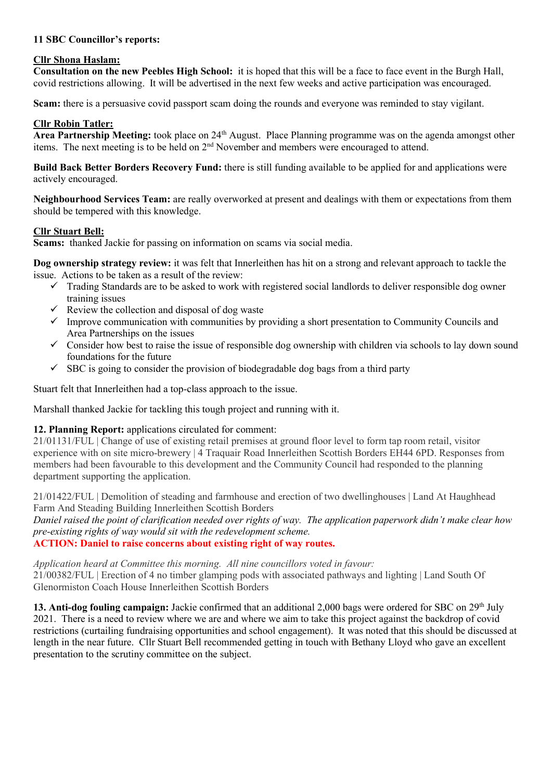# 11 SBC Councillor's reports:

## Cllr Shona Haslam:

Consultation on the new Peebles High School: it is hoped that this will be a face to face event in the Burgh Hall, covid restrictions allowing. It will be advertised in the next few weeks and active participation was encouraged.

Scam: there is a persuasive covid passport scam doing the rounds and everyone was reminded to stay vigilant.

### Cllr Robin Tatler:

Area Partnership Meeting: took place on 24<sup>th</sup> August. Place Planning programme was on the agenda amongst other items. The next meeting is to be held on 2nd November and members were encouraged to attend.

Build Back Better Borders Recovery Fund: there is still funding available to be applied for and applications were actively encouraged.

Neighbourhood Services Team: are really overworked at present and dealings with them or expectations from them should be tempered with this knowledge.

### Cllr Stuart Bell:

Scams: thanked Jackie for passing on information on scams via social media.

Dog ownership strategy review: it was felt that Innerleithen has hit on a strong and relevant approach to tackle the issue. Actions to be taken as a result of the review:

- $\checkmark$  Trading Standards are to be asked to work with registered social landlords to deliver responsible dog owner training issues
- $\checkmark$  Review the collection and disposal of dog waste
- $\checkmark$  Improve communication with communities by providing a short presentation to Community Councils and Area Partnerships on the issues
- $\checkmark$  Consider how best to raise the issue of responsible dog ownership with children via schools to lay down sound foundations for the future
- $\checkmark$  SBC is going to consider the provision of biodegradable dog bags from a third party

Stuart felt that Innerleithen had a top-class approach to the issue.

Marshall thanked Jackie for tackling this tough project and running with it.

# 12. Planning Report: applications circulated for comment:

21/01131/FUL | Change of use of existing retail premises at ground floor level to form tap room retail, visitor experience with on site micro-brewery | 4 Traquair Road Innerleithen Scottish Borders EH44 6PD. Responses from members had been favourable to this development and the Community Council had responded to the planning department supporting the application.

21/01422/FUL | Demolition of steading and farmhouse and erection of two dwellinghouses | Land At Haughhead Farm And Steading Building Innerleithen Scottish Borders

Daniel raised the point of clarification needed over rights of way. The application paperwork didn't make clear how pre-existing rights of way would sit with the redevelopment scheme.

## ACTION: Daniel to raise concerns about existing right of way routes.

Application heard at Committee this morning. All nine councillors voted in favour: 21/00382/FUL | Erection of 4 no timber glamping pods with associated pathways and lighting | Land South Of Glenormiston Coach House Innerleithen Scottish Borders

13. Anti-dog fouling campaign: Jackie confirmed that an additional 2,000 bags were ordered for SBC on 29<sup>th</sup> July 2021. There is a need to review where we are and where we aim to take this project against the backdrop of covid restrictions (curtailing fundraising opportunities and school engagement). It was noted that this should be discussed at length in the near future. Cllr Stuart Bell recommended getting in touch with Bethany Lloyd who gave an excellent presentation to the scrutiny committee on the subject.